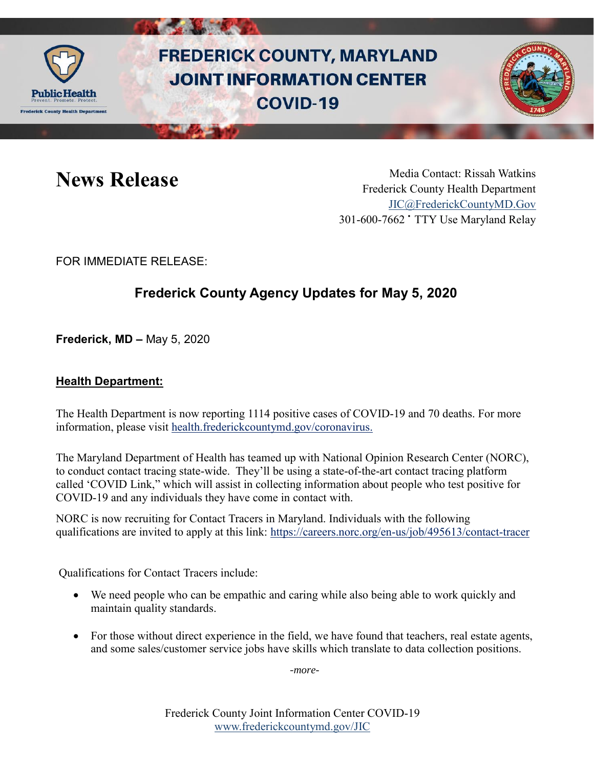

# **FREDERICK COUNTY, MARYLAND JOINT INFORMATION CENTER COVID-19**



News Release Media Contact: Rissah Watkins Frederick County Health Department [JIC@FrederickCountyMD.Gov](mailto:JIC@FrederickCountyMD.Gov) 301-600-7662 • TTY Use Maryland Relay

FOR IMMEDIATE RELEASE:

## **Frederick County Agency Updates for May 5, 2020**

**Frederick, MD –** May 5, 2020

#### **Health Department:**

The Health Department is now reporting 1114 positive cases of COVID-19 and 70 deaths. For more information, please visit [health.frederickcountymd.gov/coronavirus.](https://health.frederickcountymd.gov/614/Novel-Coronavirus-COVID-19)

The Maryland Department of Health has teamed up with National Opinion Research Center (NORC), to conduct contact tracing state-wide. They'll be using a state-of-the-art contact tracing platform called 'COVID Link," which will assist in collecting information about people who test positive for COVID-19 and any individuals they have come in contact with.

NORC is now recruiting for Contact Tracers in Maryland. Individuals with the following qualifications are invited to apply at this link: <https://careers.norc.org/en-us/job/495613/contact-tracer>

Qualifications for Contact Tracers include:

- We need people who can be empathic and caring while also being able to work quickly and maintain quality standards.
- For those without direct experience in the field, we have found that teachers, real estate agents, and some sales/customer service jobs have skills which translate to data collection positions.

-*more-*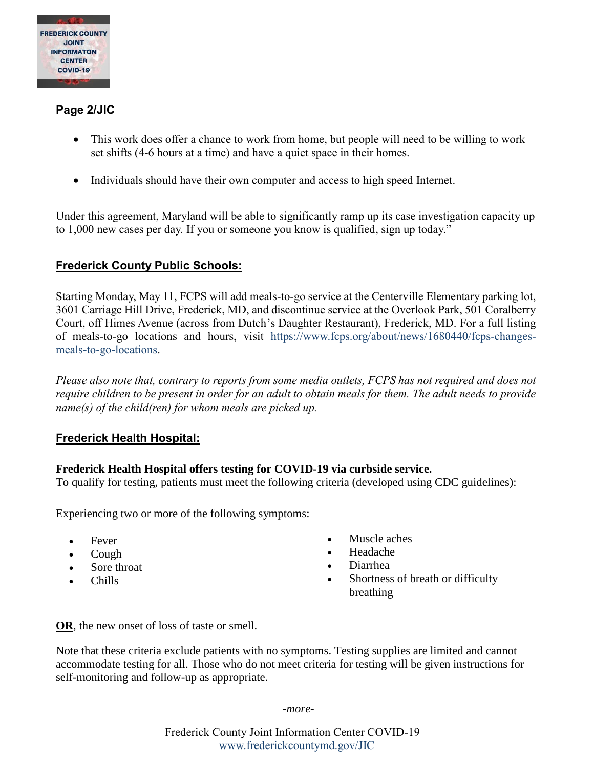

#### **Page 2/JIC**

- This work does offer a chance to work from home, but people will need to be willing to work set shifts (4-6 hours at a time) and have a quiet space in their homes.
- Individuals should have their own computer and access to high speed Internet.

Under this agreement, Maryland will be able to significantly ramp up its case investigation capacity up to 1,000 new cases per day. If you or someone you know is qualified, sign up today."

#### **Frederick County Public Schools:**

Starting Monday, May 11, FCPS will add meals-to-go service at the Centerville Elementary parking lot, 3601 Carriage Hill Drive, Frederick, MD, and discontinue service at the Overlook Park, 501 Coralberry Court, off Himes Avenue (across from Dutch's Daughter Restaurant), Frederick, MD. For a full listing of meals-to-go locations and hours, visit [https://www.fcps.org/about/news/1680440/fcps-changes](https://www.fcps.org/about/news/1680440/fcps-changes-meals-to-go-locations)[meals-to-go-locations.](https://www.fcps.org/about/news/1680440/fcps-changes-meals-to-go-locations)

*Please also note that, contrary to reports from some media outlets, FCPS has not required and does not require children to be present in order for an adult to obtain meals for them. The adult needs to provide name(s) of the child(ren) for whom meals are picked up.*

#### **Frederick Health Hospital:**

#### **Frederick Health Hospital offers testing for COVID-19 via curbside service.**

To qualify for testing, patients must meet the following criteria (developed using CDC guidelines):

Experiencing two or more of the following symptoms:

- Fever
- Cough
- Sore throat
- Chills
- Muscle aches
- Headache
- Diarrhea
- Shortness of breath or difficulty breathing

**OR**, the new onset of loss of taste or smell.

Note that these criteria exclude patients with no symptoms. Testing supplies are limited and cannot accommodate testing for all. Those who do not meet criteria for testing will be given instructions for self-monitoring and follow-up as appropriate.

*-more-*